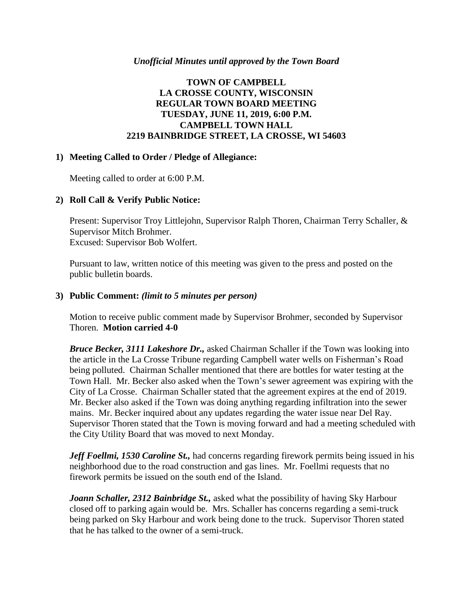### *Unofficial Minutes until approved by the Town Board*

# **TOWN OF CAMPBELL LA CROSSE COUNTY, WISCONSIN REGULAR TOWN BOARD MEETING TUESDAY, JUNE 11, 2019, 6:00 P.M. CAMPBELL TOWN HALL 2219 BAINBRIDGE STREET, LA CROSSE, WI 54603**

### **1) Meeting Called to Order / Pledge of Allegiance:**

Meeting called to order at 6:00 P.M.

# **2) Roll Call & Verify Public Notice:**

Present: Supervisor Troy Littlejohn, Supervisor Ralph Thoren, Chairman Terry Schaller, & Supervisor Mitch Brohmer. Excused: Supervisor Bob Wolfert.

Pursuant to law, written notice of this meeting was given to the press and posted on the public bulletin boards.

## **3) Public Comment:** *(limit to 5 minutes per person)*

Motion to receive public comment made by Supervisor Brohmer, seconded by Supervisor Thoren. **Motion carried 4-0**

*Bruce Becker, 3111 Lakeshore Dr.,* asked Chairman Schaller if the Town was looking into the article in the La Crosse Tribune regarding Campbell water wells on Fisherman's Road being polluted. Chairman Schaller mentioned that there are bottles for water testing at the Town Hall. Mr. Becker also asked when the Town's sewer agreement was expiring with the City of La Crosse. Chairman Schaller stated that the agreement expires at the end of 2019. Mr. Becker also asked if the Town was doing anything regarding infiltration into the sewer mains. Mr. Becker inquired about any updates regarding the water issue near Del Ray. Supervisor Thoren stated that the Town is moving forward and had a meeting scheduled with the City Utility Board that was moved to next Monday.

*Jeff Foellmi, 1530 Caroline St., had concerns regarding firework permits being issued in his* neighborhood due to the road construction and gas lines. Mr. Foellmi requests that no firework permits be issued on the south end of the Island.

*Joann Schaller, 2312 Bainbridge St.,* asked what the possibility of having Sky Harbour closed off to parking again would be. Mrs. Schaller has concerns regarding a semi-truck being parked on Sky Harbour and work being done to the truck. Supervisor Thoren stated that he has talked to the owner of a semi-truck.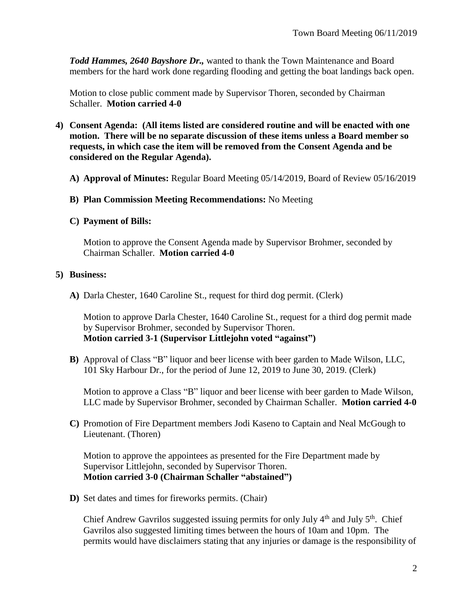*Todd Hammes, 2640 Bayshore Dr.,* wanted to thank the Town Maintenance and Board members for the hard work done regarding flooding and getting the boat landings back open.

Motion to close public comment made by Supervisor Thoren, seconded by Chairman Schaller. **Motion carried 4-0**

- **4) Consent Agenda: (All items listed are considered routine and will be enacted with one motion. There will be no separate discussion of these items unless a Board member so requests, in which case the item will be removed from the Consent Agenda and be considered on the Regular Agenda).**
	- **A) Approval of Minutes:** Regular Board Meeting 05/14/2019, Board of Review 05/16/2019
	- **B) Plan Commission Meeting Recommendations:** No Meeting
	- **C) Payment of Bills:**

Motion to approve the Consent Agenda made by Supervisor Brohmer, seconded by Chairman Schaller. **Motion carried 4-0**

## **5) Business:**

**A)** Darla Chester, 1640 Caroline St., request for third dog permit. (Clerk)

Motion to approve Darla Chester, 1640 Caroline St., request for a third dog permit made by Supervisor Brohmer, seconded by Supervisor Thoren. **Motion carried 3-1 (Supervisor Littlejohn voted "against")**

**B)** Approval of Class "B" liquor and beer license with beer garden to Made Wilson, LLC, 101 Sky Harbour Dr., for the period of June 12, 2019 to June 30, 2019. (Clerk)

Motion to approve a Class "B" liquor and beer license with beer garden to Made Wilson, LLC made by Supervisor Brohmer, seconded by Chairman Schaller. **Motion carried 4-0**

**C)** Promotion of Fire Department members Jodi Kaseno to Captain and Neal McGough to Lieutenant. (Thoren)

Motion to approve the appointees as presented for the Fire Department made by Supervisor Littlejohn, seconded by Supervisor Thoren. **Motion carried 3-0 (Chairman Schaller "abstained")** 

**D)** Set dates and times for fireworks permits. (Chair)

Chief Andrew Gavrilos suggested issuing permits for only July  $4<sup>th</sup>$  and July  $5<sup>th</sup>$ . Chief Gavrilos also suggested limiting times between the hours of 10am and 10pm. The permits would have disclaimers stating that any injuries or damage is the responsibility of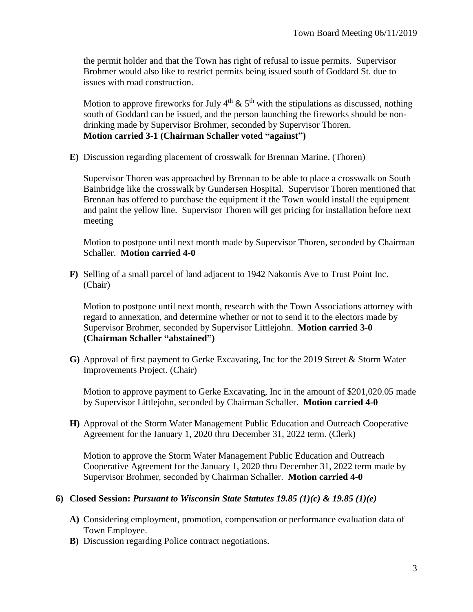the permit holder and that the Town has right of refusal to issue permits. Supervisor Brohmer would also like to restrict permits being issued south of Goddard St. due to issues with road construction.

Motion to approve fireworks for July  $4<sup>th</sup> \& 5<sup>th</sup>$  with the stipulations as discussed, nothing south of Goddard can be issued, and the person launching the fireworks should be nondrinking made by Supervisor Brohmer, seconded by Supervisor Thoren. **Motion carried 3-1 (Chairman Schaller voted "against")**

**E)** Discussion regarding placement of crosswalk for Brennan Marine. (Thoren)

Supervisor Thoren was approached by Brennan to be able to place a crosswalk on South Bainbridge like the crosswalk by Gundersen Hospital. Supervisor Thoren mentioned that Brennan has offered to purchase the equipment if the Town would install the equipment and paint the yellow line. Supervisor Thoren will get pricing for installation before next meeting

Motion to postpone until next month made by Supervisor Thoren, seconded by Chairman Schaller. **Motion carried 4-0**

**F)** Selling of a small parcel of land adjacent to 1942 Nakomis Ave to Trust Point Inc. (Chair)

Motion to postpone until next month, research with the Town Associations attorney with regard to annexation, and determine whether or not to send it to the electors made by Supervisor Brohmer, seconded by Supervisor Littlejohn. **Motion carried 3-0 (Chairman Schaller "abstained")**

**G)** Approval of first payment to Gerke Excavating, Inc for the 2019 Street & Storm Water Improvements Project. (Chair)

Motion to approve payment to Gerke Excavating, Inc in the amount of \$201,020.05 made by Supervisor Littlejohn, seconded by Chairman Schaller. **Motion carried 4-0**

**H)** Approval of the Storm Water Management Public Education and Outreach Cooperative Agreement for the January 1, 2020 thru December 31, 2022 term. (Clerk)

Motion to approve the Storm Water Management Public Education and Outreach Cooperative Agreement for the January 1, 2020 thru December 31, 2022 term made by Supervisor Brohmer, seconded by Chairman Schaller. **Motion carried 4-0**

### **6) Closed Session:** *Pursuant to Wisconsin State Statutes 19.85 (1)(c) & 19.85 (1)(e)*

- **A)** Considering employment, promotion, compensation or performance evaluation data of Town Employee.
- **B)** Discussion regarding Police contract negotiations.